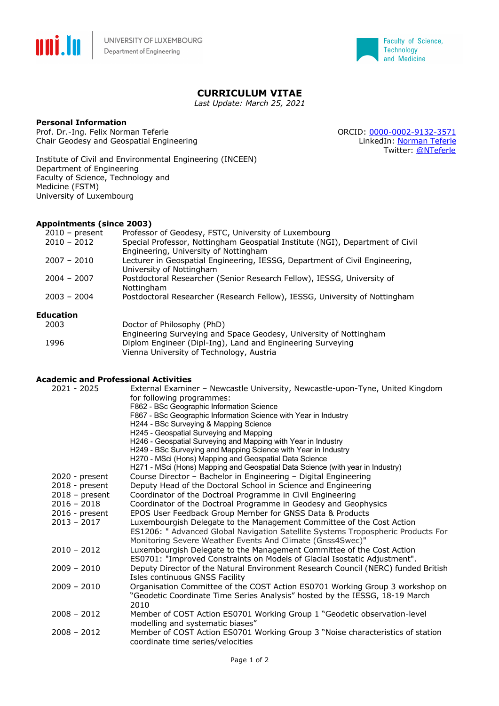



## **CURRICULUM VITAE**

*Last Update: March 25, 2021*

#### **Personal Information**

Prof. Dr.-Ing. Felix Norman Teferle Case of Case of Case of Case of Case of Case of Case of Case of Case of Case of Case of Case of Case of Case of Case of Case of Case of Case of Case of Case of Case of Case of Case of Ca Chair Geodesy and Geospatial Engineering and the state of the LinkedIn: Norman Teferle

Twitter: @NTeferle

Institute of Civil and Environmental Engineering (INCEEN) Department of Engineering Faculty of Science, Technology and Medicine (FSTM) University of Luxembourg

#### **Appointments (since 2003)**

| $2010$ – present | Professor of Geodesy, FSTC, University of Luxembourg                          |
|------------------|-------------------------------------------------------------------------------|
| $2010 - 2012$    | Special Professor, Nottingham Geospatial Institute (NGI), Department of Civil |
|                  | Engineering, University of Nottingham                                         |
| $2007 - 2010$    | Lecturer in Geospatial Engineering, IESSG, Department of Civil Engineering,   |
|                  | University of Nottingham                                                      |
| $2004 - 2007$    | Postdoctoral Researcher (Senior Research Fellow), IESSG, University of        |
|                  | Nottingham                                                                    |
| $2003 - 2004$    | Postdoctoral Researcher (Research Fellow), IESSG, University of Nottingham    |
| ducation         |                                                                               |

# **Education**

| 2003 | Doctor of Philosophy (PhD)                                        |
|------|-------------------------------------------------------------------|
|      | Engineering Surveying and Space Geodesy, University of Nottingham |
| 1996 | Diplom Engineer (Dipl-Ing), Land and Engineering Surveying        |
|      | Vienna University of Technology, Austria                          |

### **Academic and Professional Activities**

| $2021 - 2025$    | External Examiner - Newcastle University, Newcastle-upon-Tyne, United Kingdom<br>for following programmes:<br>F862 - BSc Geographic Information Science<br>F867 - BSc Geographic Information Science with Year in Industry<br>H244 - BSc Surveying & Mapping Science<br>H245 - Geospatial Surveying and Mapping<br>H246 - Geospatial Surveying and Mapping with Year in Industry<br>H249 - BSc Surveying and Mapping Science with Year in Industry<br>H270 - MSci (Hons) Mapping and Geospatial Data Science |
|------------------|--------------------------------------------------------------------------------------------------------------------------------------------------------------------------------------------------------------------------------------------------------------------------------------------------------------------------------------------------------------------------------------------------------------------------------------------------------------------------------------------------------------|
|                  | H271 - MSci (Hons) Mapping and Geospatial Data Science (with year in Industry)                                                                                                                                                                                                                                                                                                                                                                                                                               |
| $2020$ - present | Course Director - Bachelor in Engineering - Digital Engineering                                                                                                                                                                                                                                                                                                                                                                                                                                              |
| $2018$ - present | Deputy Head of the Doctoral School in Science and Engineering                                                                                                                                                                                                                                                                                                                                                                                                                                                |
| $2018$ – present | Coordinator of the Doctroal Programme in Civil Engineering                                                                                                                                                                                                                                                                                                                                                                                                                                                   |
| $2016 - 2018$    | Coordinator of the Doctroal Programme in Geodesy and Geophysics                                                                                                                                                                                                                                                                                                                                                                                                                                              |
| $2016$ - present | EPOS User Feedback Group Member for GNSS Data & Products                                                                                                                                                                                                                                                                                                                                                                                                                                                     |
| $2013 - 2017$    | Luxembourgish Delegate to the Management Committee of the Cost Action<br>ES1206: " Advanced Global Navigation Satellite Systems Tropospheric Products For<br>Monitoring Severe Weather Events And Climate (Gnss4Swec)"                                                                                                                                                                                                                                                                                       |
| $2010 - 2012$    | Luxembourgish Delegate to the Management Committee of the Cost Action                                                                                                                                                                                                                                                                                                                                                                                                                                        |
|                  | ES0701: "Improved Constraints on Models of Glacial Isostatic Adjustment".                                                                                                                                                                                                                                                                                                                                                                                                                                    |
| $2009 - 2010$    | Deputy Director of the Natural Environment Research Council (NERC) funded British<br>Isles continuous GNSS Facility                                                                                                                                                                                                                                                                                                                                                                                          |
| $2009 - 2010$    | Organisation Committee of the COST Action ES0701 Working Group 3 workshop on<br>"Geodetic Coordinate Time Series Analysis" hosted by the IESSG, 18-19 March<br>2010                                                                                                                                                                                                                                                                                                                                          |
| $2008 - 2012$    | Member of COST Action ES0701 Working Group 1 "Geodetic observation-level<br>modelling and systematic biases"                                                                                                                                                                                                                                                                                                                                                                                                 |
| $2008 - 2012$    | Member of COST Action ES0701 Working Group 3 "Noise characteristics of station<br>coordinate time series/velocities                                                                                                                                                                                                                                                                                                                                                                                          |